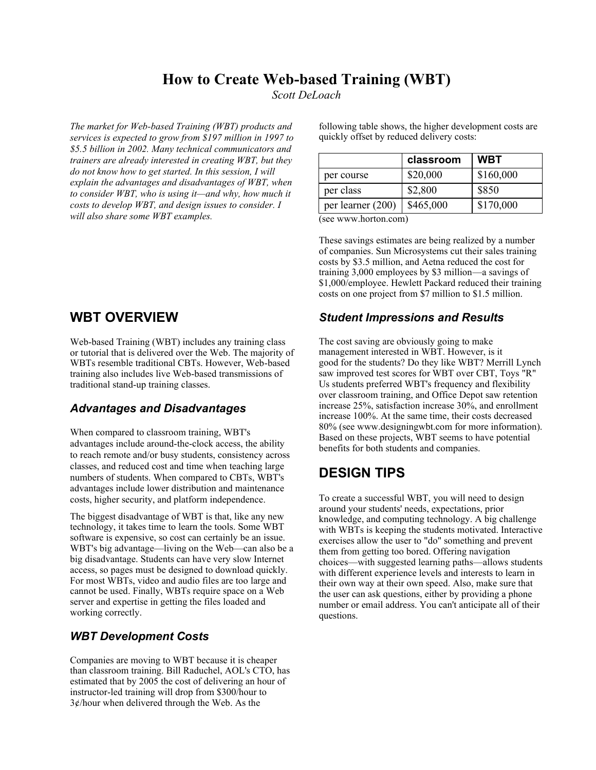## **How to Create Web-based Training (WBT)**

*Scott DeLoach*

*The market for Web-based Training (WBT) products and services is expected to grow from \$197 million in 1997 to \$5.5 billion in 2002. Many technical communicators and trainers are already interested in creating WBT, but they do not know how to get started. In this session, I will explain the advantages and disadvantages of WBT, when to consider WBT, who is using it—and why, how much it costs to develop WBT, and design issues to consider. I will also share some WBT examples.*

**WBT OVERVIEW**

Web-based Training (WBT) includes any training class or tutorial that is delivered over the Web. The majority of WBTs resemble traditional CBTs. However, Web-based training also includes live Web-based transmissions of traditional stand-up training classes.

#### *Advantages and Disadvantages*

When compared to classroom training, WBT's advantages include around-the-clock access, the ability to reach remote and/or busy students, consistency across classes, and reduced cost and time when teaching large numbers of students. When compared to CBTs, WBT's advantages include lower distribution and maintenance costs, higher security, and platform independence.

The biggest disadvantage of WBT is that, like any new technology, it takes time to learn the tools. Some WBT software is expensive, so cost can certainly be an issue. WBT's big advantage—living on the Web—can also be a big disadvantage. Students can have very slow Internet access, so pages must be designed to download quickly. For most WBTs, video and audio files are too large and cannot be used. Finally, WBTs require space on a Web server and expertise in getting the files loaded and working correctly.

### *WBT Development Costs*

Companies are moving to WBT because it is cheaper than classroom training. Bill Raduchel, AOL's CTO, has estimated that by 2005 the cost of delivering an hour of instructor-led training will drop from \$300/hour to 3¢/hour when delivered through the Web. As the

following table shows, the higher development costs are quickly offset by reduced delivery costs:

|                   | classroom | <b>WBT</b> |
|-------------------|-----------|------------|
| per course        | \$20,000  | \$160,000  |
| per class         | \$2,800   | \$850      |
| per learner (200) | \$465,000 | \$170,000  |

(see www.horton.com)

These savings estimates are being realized by a number of companies. Sun Microsystems cut their sales training costs by \$3.5 million, and Aetna reduced the cost for training 3,000 employees by \$3 million—a savings of \$1,000/employee. Hewlett Packard reduced their training costs on one project from \$7 million to \$1.5 million.

### *Student Impressions and Results*

The cost saving are obviously going to make management interested in WBT. However, is it good for the students? Do they like WBT? Merrill Lynch saw improved test scores for WBT over CBT, Toys "R" Us students preferred WBT's frequency and flexibility over classroom training, and Office Depot saw retention increase 25%, satisfaction increase 30%, and enrollment increase 100%. At the same time, their costs decreased 80% (see www.designingwbt.com for more information). Based on these projects, WBT seems to have potential benefits for both students and companies.

# **DESIGN TIPS**

To create a successful WBT, you will need to design around your students' needs, expectations, prior knowledge, and computing technology. A big challenge with WBTs is keeping the students motivated. Interactive exercises allow the user to "do" something and prevent them from getting too bored. Offering navigation choices—with suggested learning paths—allows students with different experience levels and interests to learn in their own way at their own speed. Also, make sure that the user can ask questions, either by providing a phone number or email address. You can't anticipate all of their questions.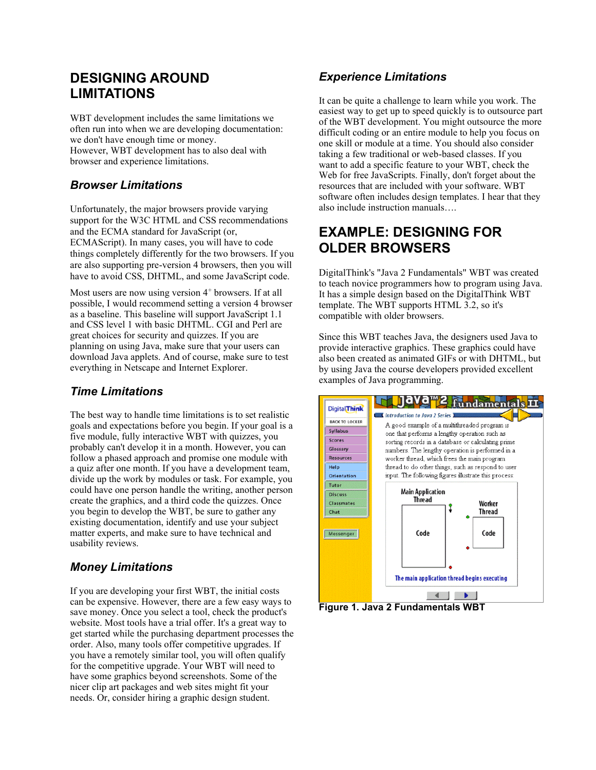# **DESIGNING AROUND LIMITATIONS**

WBT development includes the same limitations we often run into when we are developing documentation: we don't have enough time or money. However, WBT development has to also deal with browser and experience limitations.

## *Browser Limitations*

Unfortunately, the major browsers provide varying support for the W3C HTML and CSS recommendations and the ECMA standard for JavaScript (or, ECMAScript). In many cases, you will have to code things completely differently for the two browsers. If you are also supporting pre-version 4 browsers, then you will have to avoid CSS, DHTML, and some JavaScript code.

Most users are now using version  $4^+$  browsers. If at all possible, I would recommend setting a version 4 browser as a baseline. This baseline will support JavaScript 1.1 and CSS level 1 with basic DHTML. CGI and Perl are great choices for security and quizzes. If you are planning on using Java, make sure that your users can download Java applets. And of course, make sure to test everything in Netscape and Internet Explorer.

### *Time Limitations*

The best way to handle time limitations is to set realistic goals and expectations before you begin. If your goal is a five module, fully interactive WBT with quizzes, you probably can't develop it in a month. However, you can follow a phased approach and promise one module with a quiz after one month. If you have a development team, divide up the work by modules or task. For example, you could have one person handle the writing, another person create the graphics, and a third code the quizzes. Once you begin to develop the WBT, be sure to gather any existing documentation, identify and use your subject matter experts, and make sure to have technical and usability reviews.

## *Money Limitations*

If you are developing your first WBT, the initial costs can be expensive. However, there are a few easy ways to save money. Once you select a tool, check the product's website. Most tools have a trial offer. It's a great way to get started while the purchasing department processes the order. Also, many tools offer competitive upgrades. If you have a remotely similar tool, you will often qualify for the competitive upgrade. Your WBT will need to have some graphics beyond screenshots. Some of the nicer clip art packages and web sites might fit your needs. Or, consider hiring a graphic design student.

## *Experience Limitations*

It can be quite a challenge to learn while you work. The easiest way to get up to speed quickly is to outsource part of the WBT development. You might outsource the more difficult coding or an entire module to help you focus on one skill or module at a time. You should also consider taking a few traditional or web-based classes. If you want to add a specific feature to your WBT, check the Web for free JavaScripts. Finally, don't forget about the resources that are included with your software. WBT software often includes design templates. I hear that they also include instruction manuals….

## **EXAMPLE: DESIGNING FOR OLDER BROWSERS**

DigitalThink's "Java 2 Fundamentals" WBT was created to teach novice programmers how to program using Java. It has a simple design based on the DigitalThink WBT template. The WBT supports HTML 3.2, so it's compatible with older browsers.

Since this WBT teaches Java, the designers used Java to provide interactive graphics. These graphics could have also been created as animated GIFs or with DHTML, but by using Java the course developers provided excellent examples of Java programming.



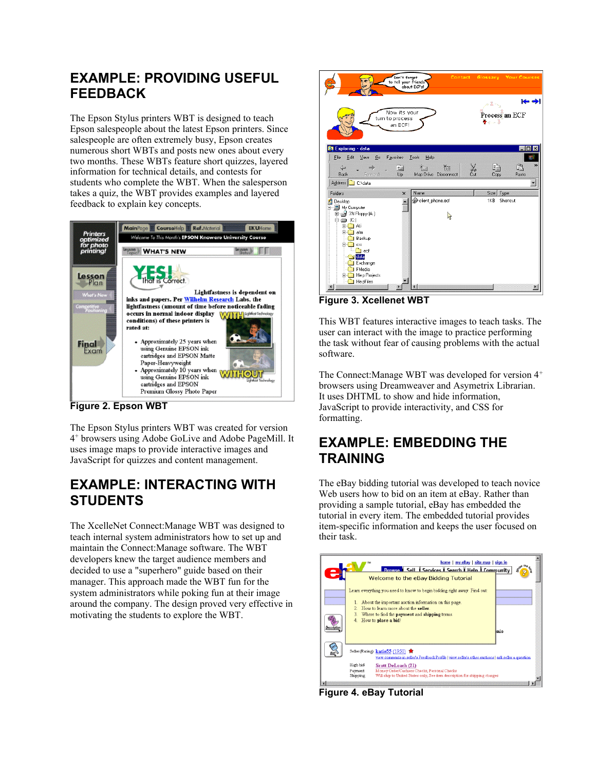# **EXAMPLE: PROVIDING USEFUL FEEDBACK**

The Epson Stylus printers WBT is designed to teach Epson salespeople about the latest Epson printers. Since salespeople are often extremely busy, Epson creates numerous short WBTs and posts new ones about every two months. These WBTs feature short quizzes, layered information for technical details, and contests for students who complete the WBT. When the salesperson takes a quiz, the WBT provides examples and layered feedback to explain key concepts.



**Figure 2. Epson WBT**

The Epson Stylus printers WBT was created for version 4 <sup>+</sup> browsers using Adobe GoLive and Adobe PageMill. It uses image maps to provide interactive images and JavaScript for quizzes and content management.

# **EXAMPLE: INTERACTING WITH STUDENTS**

The XcelleNet Connect:Manage WBT was designed to teach internal system administrators how to set up and maintain the Connect:Manage software. The WBT developers knew the target audience members and decided to use a "superhero" guide based on their manager. This approach made the WBT fun for the system administrators while poking fun at their image around the company. The design proved very effective in motivating the students to explore the WBT.



**Figure 3. Xcellenet WBT**

This WBT features interactive images to teach tasks. The user can interact with the image to practice performing the task without fear of causing problems with the actual software.

The Connect:Manage WBT was developed for version 4<sup>+</sup> browsers using Dreamweaver and Asymetrix Librarian. It uses DHTML to show and hide information, JavaScript to provide interactivity, and CSS for formatting.

# **EXAMPLE: EMBEDDING THE TRAINING**

The eBay bidding tutorial was developed to teach novice Web users how to bid on an item at eBay. Rather than providing a sample tutorial, eBay has embedded the tutorial in every item. The embedded tutorial provides item-specific information and keeps the user focused on their task.



**Figure 4. eBay Tutorial**